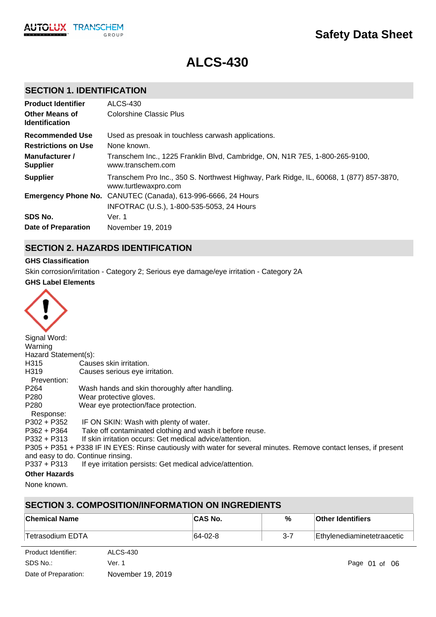

# **ALCS-430**

# **SECTION 1. IDENTIFICATION**

| <b>Product Identifier</b>                      | <b>ALCS-430</b>                                                                                                |
|------------------------------------------------|----------------------------------------------------------------------------------------------------------------|
| <b>Other Means of</b><br><b>Identification</b> | <b>Colorshine Classic Plus</b>                                                                                 |
| <b>Recommended Use</b>                         | Used as presoak in touchless carwash applications.                                                             |
| <b>Restrictions on Use</b>                     | None known.                                                                                                    |
| Manufacturer /<br><b>Supplier</b>              | Transchem Inc., 1225 Franklin Blvd, Cambridge, ON, N1R 7E5, 1-800-265-9100,<br>www.transchem.com               |
| <b>Supplier</b>                                | Transchem Pro Inc., 350 S. Northwest Highway, Park Ridge, IL, 60068, 1 (877) 857-3870,<br>www.turtlewaxpro.com |
|                                                | <b>Emergency Phone No.</b> CANUTEC (Canada), 613-996-6666, 24 Hours                                            |
|                                                | INFOTRAC (U.S.), 1-800-535-5053, 24 Hours                                                                      |
| SDS No.                                        | Ver. 1                                                                                                         |
| <b>Date of Preparation</b>                     | November 19, 2019                                                                                              |

# **SECTION 2. HAZARDS IDENTIFICATION**

### **GHS Classification**

Skin corrosion/irritation - Category 2; Serious eye damage/eye irritation - Category 2A

### **GHS Label Elements**



| Signal Word:         |                                                                                                                   |
|----------------------|-------------------------------------------------------------------------------------------------------------------|
| Warning              |                                                                                                                   |
| Hazard Statement(s): |                                                                                                                   |
| H315                 | Causes skin irritation.                                                                                           |
| H319                 | Causes serious eye irritation.                                                                                    |
| Prevention:          |                                                                                                                   |
| P <sub>264</sub>     | Wash hands and skin thoroughly after handling.                                                                    |
| P280                 | Wear protective gloves.                                                                                           |
| P280                 | Wear eye protection/face protection.                                                                              |
| Response:            |                                                                                                                   |
| P302 + P352          | IF ON SKIN: Wash with plenty of water.                                                                            |
| P362 + P364          | Take off contaminated clothing and wash it before reuse.                                                          |
| $P332 + P313$        | If skin irritation occurs: Get medical advice/attention.                                                          |
|                      | P305 + P351 + P338 IF IN EYES: Rinse cautiously with water for several minutes. Remove contact lenses, if present |
|                      | and easy to do. Continue rinsing.                                                                                 |
| $P337 + P313$        | If eye irritation persists: Get medical advice/attention.                                                         |
| Athen Hamanda        |                                                                                                                   |

#### **Other Hazards**

None known.

# **SECTION 3. COMPOSITION/INFORMATION ON INGREDIENTS**

| ∣Chemical Name   | <b>CAS No.</b> | %   | <b>Other Identifiers</b>   |
|------------------|----------------|-----|----------------------------|
| Tetrasodium EDTA | $ 64-02-8 $    | 3-7 | Ethylenediaminetetraacetic |

| Product Identifier:  | <b>ALCS-430</b>   |
|----------------------|-------------------|
| SDS No.:             | Ver. 1            |
| Date of Preparation: | November 19, 2019 |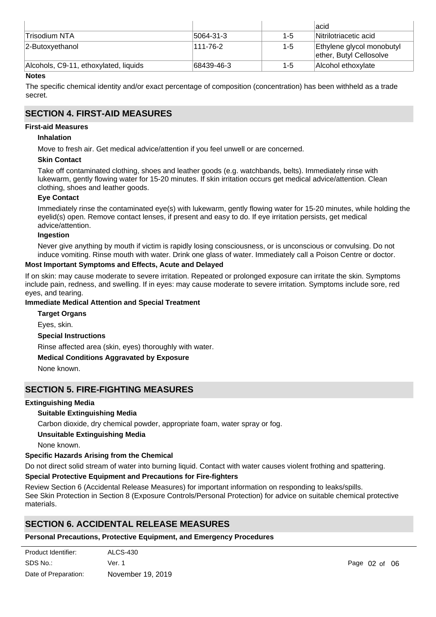|                                       |               |         | lacid                                                |
|---------------------------------------|---------------|---------|------------------------------------------------------|
| ∣Trisodium NTA                        | $ 5064-31-3 $ | $1 - 5$ | Nitrilotriacetic acid                                |
| 2-Butoxyethanol                       | 111-76-2      | $1 - 5$ | Ethylene glycol monobutyl<br>ether, Butyl Cellosolve |
| Alcohols, C9-11, ethoxylated, liquids | 68439-46-3    | 1-5     | Alcohol ethoxvlate                                   |

### **Notes**

The specific chemical identity and/or exact percentage of composition (concentration) has been withheld as a trade secret.

### **SECTION 4. FIRST-AID MEASURES**

### **First-aid Measures**

### **Inhalation**

Move to fresh air. Get medical advice/attention if you feel unwell or are concerned.

### **Skin Contact**

Take off contaminated clothing, shoes and leather goods (e.g. watchbands, belts). Immediately rinse with lukewarm, gently flowing water for 15-20 minutes. If skin irritation occurs get medical advice/attention. Clean clothing, shoes and leather goods.

### **Eye Contact**

Immediately rinse the contaminated eye(s) with lukewarm, gently flowing water for 15-20 minutes, while holding the eyelid(s) open. Remove contact lenses, if present and easy to do. If eye irritation persists, get medical advice/attention.

### **Ingestion**

Never give anything by mouth if victim is rapidly losing consciousness, or is unconscious or convulsing. Do not induce vomiting. Rinse mouth with water. Drink one glass of water. Immediately call a Poison Centre or doctor.

### **Most Important Symptoms and Effects, Acute and Delayed**

If on skin: may cause moderate to severe irritation. Repeated or prolonged exposure can irritate the skin. Symptoms include pain, redness, and swelling. If in eyes: may cause moderate to severe irritation. Symptoms include sore, red eyes, and tearing.

### **Immediate Medical Attention and Special Treatment**

**Special Instructions** Rinse affected area (skin, eyes) thoroughly with water. **Medical Conditions Aggravated by Exposure** None known. **Target Organs** Eyes, skin.

### **SECTION 5. FIRE-FIGHTING MEASURES**

#### **Extinguishing Media**

### **Suitable Extinguishing Media**

Carbon dioxide, dry chemical powder, appropriate foam, water spray or fog.

#### **Unsuitable Extinguishing Media**

None known.

### **Specific Hazards Arising from the Chemical**

Do not direct solid stream of water into burning liquid. Contact with water causes violent frothing and spattering.

#### **Special Protective Equipment and Precautions for Fire-fighters**

Review Section 6 (Accidental Release Measures) for important information on responding to leaks/spills. See Skin Protection in Section 8 (Exposure Controls/Personal Protection) for advice on suitable chemical protective materials.

# **SECTION 6. ACCIDENTAL RELEASE MEASURES**

### **Personal Precautions, Protective Equipment, and Emergency Procedures**

| Product Identifier:  | ALCS-430          |
|----------------------|-------------------|
| SDS No.:             | Ver. 1            |
| Date of Preparation: | November 19, 2019 |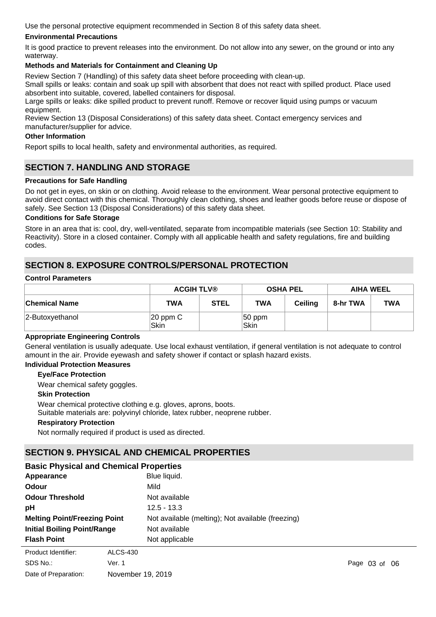Use the personal protective equipment recommended in Section 8 of this safety data sheet.

### **Environmental Precautions**

It is good practice to prevent releases into the environment. Do not allow into any sewer, on the ground or into any waterway.

### **Methods and Materials for Containment and Cleaning Up**

Review Section 7 (Handling) of this safety data sheet before proceeding with clean-up.

Small spills or leaks: contain and soak up spill with absorbent that does not react with spilled product. Place used absorbent into suitable, covered, labelled containers for disposal.

Large spills or leaks: dike spilled product to prevent runoff. Remove or recover liquid using pumps or vacuum equipment.

Review Section 13 (Disposal Considerations) of this safety data sheet. Contact emergency services and manufacturer/supplier for advice.

#### **Other Information**

Report spills to local health, safety and environmental authorities, as required.

### **SECTION 7. HANDLING AND STORAGE**

### **Precautions for Safe Handling**

Do not get in eyes, on skin or on clothing. Avoid release to the environment. Wear personal protective equipment to avoid direct contact with this chemical. Thoroughly clean clothing, shoes and leather goods before reuse or dispose of safely. See Section 13 (Disposal Considerations) of this safety data sheet.

#### **Conditions for Safe Storage**

Store in an area that is: cool, dry, well-ventilated, separate from incompatible materials (see Section 10: Stability and Reactivity). Store in a closed container. Comply with all applicable health and safety regulations, fire and building codes.

# **SECTION 8. EXPOSURE CONTROLS/PERSONAL PROTECTION**

#### **Control Parameters**

|                      | <b>ACGIH TLV®</b>   |             | <b>OSHA PEL</b>   |                | <b>AIHA WEEL</b> |            |
|----------------------|---------------------|-------------|-------------------|----------------|------------------|------------|
| <b>Chemical Name</b> | TWA                 | <b>STEL</b> | <b>TWA</b>        | <b>Ceiling</b> | 8-hr TWA         | <b>TWA</b> |
| 2-Butoxyethanol      | $ 20$ ppm C<br>Skin |             | $ 50$ ppm<br>Skin |                |                  |            |

#### **Appropriate Engineering Controls**

General ventilation is usually adequate. Use local exhaust ventilation, if general ventilation is not adequate to control amount in the air. Provide eyewash and safety shower if contact or splash hazard exists.

### **Individual Protection Measures**

### **Eye/Face Protection**

Wear chemical safety goggles.

#### **Skin Protection**

Wear chemical protective clothing e.g. gloves, aprons, boots.

Suitable materials are: polyvinyl chloride, latex rubber, neoprene rubber.

#### **Respiratory Protection**

Not normally required if product is used as directed.

### **SECTION 9. PHYSICAL AND CHEMICAL PROPERTIES**

| <b>Basic Physical and Chemical Properties</b> |                                                   |  |  |  |  |  |
|-----------------------------------------------|---------------------------------------------------|--|--|--|--|--|
| Appearance                                    | Blue liquid.                                      |  |  |  |  |  |
| Odour                                         | Mild                                              |  |  |  |  |  |
| <b>Odour Threshold</b>                        | Not available                                     |  |  |  |  |  |
| pH                                            | $12.5 - 13.3$                                     |  |  |  |  |  |
| <b>Melting Point/Freezing Point</b>           | Not available (melting); Not available (freezing) |  |  |  |  |  |
| <b>Initial Boiling Point/Range</b>            | Not available                                     |  |  |  |  |  |
| <b>Flash Point</b>                            | Not applicable                                    |  |  |  |  |  |
| Product Identifier:<br>ALCS-430               |                                                   |  |  |  |  |  |

SDS No.: Date of Preparation: Ver. 1 **Page 03 of 06** November 19, 2019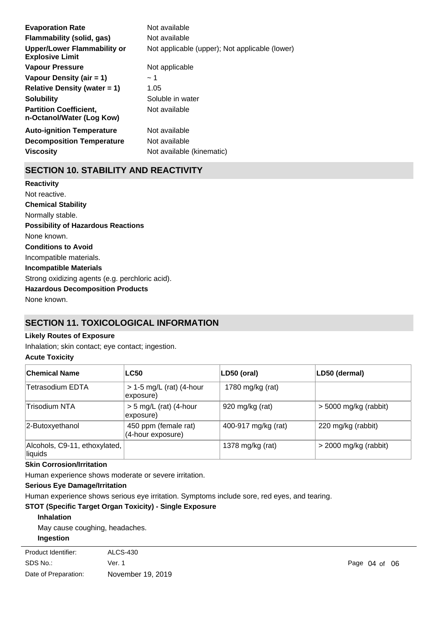| <b>Evaporation Rate</b>                                    | Not available                                  |
|------------------------------------------------------------|------------------------------------------------|
| Flammability (solid, gas)                                  | Not available                                  |
| Upper/Lower Flammability or<br><b>Explosive Limit</b>      | Not applicable (upper); Not applicable (lower) |
| <b>Vapour Pressure</b>                                     | Not applicable                                 |
| Vapour Density (air $= 1$ )                                | ~1~                                            |
| Relative Density (water $= 1$ )                            | 1.05                                           |
| <b>Solubility</b>                                          | Soluble in water                               |
| <b>Partition Coefficient.</b><br>n-Octanol/Water (Log Kow) | Not available                                  |
| <b>Auto-ignition Temperature</b>                           | Not available                                  |
| <b>Decomposition Temperature</b>                           | Not available                                  |
| <b>Viscosity</b>                                           | Not available (kinematic)                      |

# **SECTION 10. STABILITY AND REACTIVITY**

**Chemical Stability** Normally stable. **Conditions to Avoid** Incompatible materials. **Incompatible Materials** Strong oxidizing agents (e.g. perchloric acid). **Hazardous Decomposition Products** None known. **Possibility of Hazardous Reactions** None known. **Reactivity** Not reactive.

# **SECTION 11. TOXICOLOGICAL INFORMATION**

#### **Likely Routes of Exposure**

Inhalation; skin contact; eye contact; ingestion.

### **Acute Toxicity**

| <b>Chemical Name</b>                     | <b>LC50</b>                               | LD50 (oral)         | LD50 (dermal)           |
|------------------------------------------|-------------------------------------------|---------------------|-------------------------|
| Tetrasodium EDTA                         | $> 1-5$ mg/L (rat) (4-hour<br>exposure)   | 1780 mg/kg (rat)    |                         |
| Trisodium NTA                            | $> 5$ mg/L (rat) (4-hour<br>exposure)     | 920 mg/kg (rat)     | $>$ 5000 mg/kg (rabbit) |
| 2-Butoxyethanol                          | 450 ppm (female rat)<br>(4-hour exposure) | 400-917 mg/kg (rat) | 220 mg/kg (rabbit)      |
| Alcohols, C9-11, ethoxylated,<br>liquids |                                           | 1378 mg/kg (rat)    | $>$ 2000 mg/kg (rabbit) |

### **Skin Corrosion/Irritation**

Human experience shows moderate or severe irritation.

### **Serious Eye Damage/Irritation**

Human experience shows serious eye irritation. Symptoms include sore, red eyes, and tearing.

### **STOT (Specific Target Organ Toxicity) - Single Exposure**

**Inhalation**

May cause coughing, headaches. **Ingestion**

| Product Identifier:  | ALCS-430          |                   |  |
|----------------------|-------------------|-------------------|--|
| SDS No.:             | Ver. 1            | Page $04$ of $06$ |  |
| Date of Preparation: | November 19, 2019 |                   |  |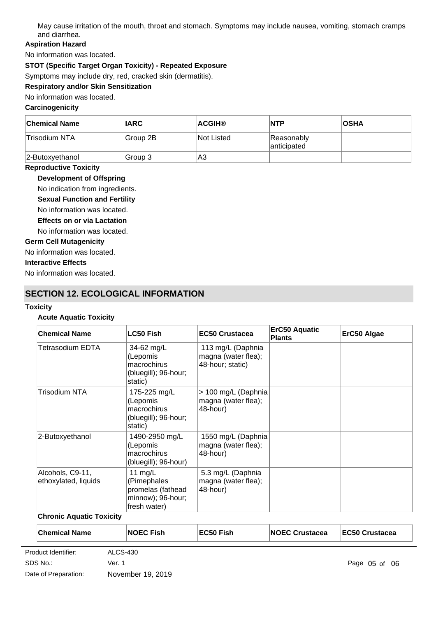May cause irritation of the mouth, throat and stomach. Symptoms may include nausea, vomiting, stomach cramps and diarrhea.

### **Aspiration Hazard**

No information was located.

### **STOT (Specific Target Organ Toxicity) - Repeated Exposure**

Symptoms may include dry, red, cracked skin (dermatitis).

# **Respiratory and/or Skin Sensitization**

No information was located.

### **Carcinogenicity**

| <b>Chemical Name</b> | <b>IARC</b> | <b>ACGIH®</b>     | <b>NTP</b>                | <b>OSHA</b> |
|----------------------|-------------|-------------------|---------------------------|-------------|
| Trisodium NTA        | Group 2B    | <b>Not Listed</b> | Reasonably<br>anticipated |             |
| $ 2$ -Butoxyethanol  | Group 3     | IΑ3               |                           |             |

### **Reproductive Toxicity**

**Development of Offspring**

No indication from ingredients.

- **Sexual Function and Fertility**
- No information was located.
- **Effects on or via Lactation**
- No information was located.

### **Germ Cell Mutagenicity**

No information was located.

### **Interactive Effects**

No information was located.

# **SECTION 12. ECOLOGICAL INFORMATION**

#### **Toxicity**

### **Acute Aquatic Toxicity**

| <b>Chemical Name</b>                     | <b>LC50 Fish</b>                                                                   | <b>EC50 Crustacea</b>                                        | <b>ErC50 Aquatic</b><br><b>Plants</b> | ErC50 Algae |
|------------------------------------------|------------------------------------------------------------------------------------|--------------------------------------------------------------|---------------------------------------|-------------|
| Tetrasodium EDTA                         | 34-62 mg/L<br>(Lepomis<br>macrochirus<br>(bluegill); 96-hour;<br>static)           | 113 mg/L (Daphnia<br>magna (water flea);<br>48-hour; static) |                                       |             |
| Trisodium NTA                            | 175-225 mg/L<br>(Lepomis<br>macrochirus<br>(bluegill); 96-hour;<br>static)         | > 100 mg/L (Daphnia<br>magna (water flea);<br>48-hour)       |                                       |             |
| 2-Butoxyethanol                          | 1490-2950 mg/L<br>(Lepomis<br>macrochirus<br>(bluegill); 96-hour)                  | 1550 mg/L (Daphnia<br>magna (water flea);<br>48-hour)        |                                       |             |
| Alcohols, C9-11,<br>ethoxylated, liquids | 11 $mg/L$<br>(Pimephales<br>promelas (fathead<br>minnow); 96-hour;<br>fresh water) | 5.3 mg/L (Daphnia<br>magna (water flea);<br>48-hour)         |                                       |             |

### **Chronic Aquatic Toxicity**

| <b>Chemical Name</b> |          | <b>NOEC Fish</b> | EC50 Fish | <b>NOEC Crustacea</b> | <b>IEC50 Crustacea</b> |
|----------------------|----------|------------------|-----------|-----------------------|------------------------|
| Product Identifier:  | ALCS-430 |                  |           |                       |                        |